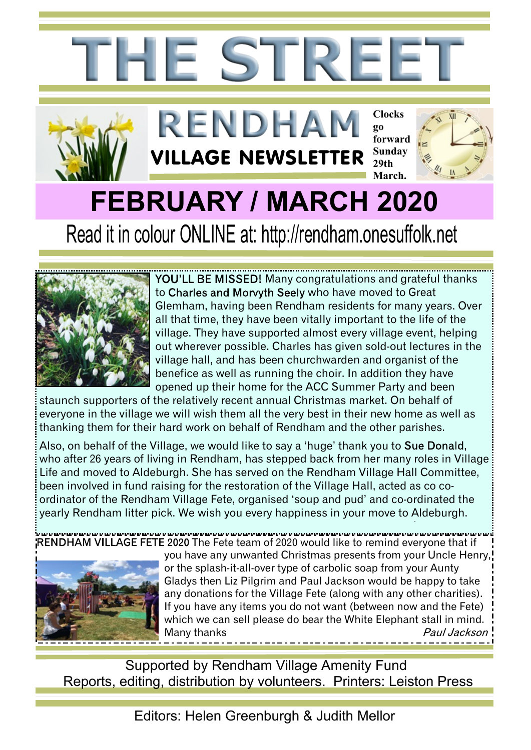



YOU'LL BE MISSED! Many congratulations and grateful thanks to Charles and Morvyth Seely who have moved to Great Glemham, having been Rendham residents for many years. Over all that time, they have been vitally important to the life of the village. They have supported almost every village event, helping out wherever possible. Charles has given sold-out lectures in the village hall, and has been churchwarden and organist of the benefice as well as running the choir. In addition they have opened up their home for the ACC Summer Party and been

staunch supporters of the relatively recent annual Christmas market. On behalf of everyone in the village we will wish them all the very best in their new home as well as thanking them for their hard work on behalf of Rendham and the other parishes.

Also, on behalf of the Village, we would like to say a 'huge' thank you to Sue Donald, who after 26 years of living in Rendham, has stepped back from her many roles in Village Life and moved to Aldeburgh. She has served on the Rendham Village Hall Committee, been involved in fund raising for the restoration of the Village Hall, acted as co coordinator of the Rendham Village Fete, organised 'soup and pud' and co-ordinated the yearly Rendham litter pick. We wish you every happiness in your move to Aldeburgh.

VILLAGE FETE 2020 The Fete team of 2020 would like to remind everyone that if



you have any unwanted Christmas presents from your Uncle Henry, or the splash-it-all-over type of carbolic soap from your Aunty Gladys then Liz Pilgrim and Paul Jackson would be happy to take any donations for the Village Fete (along with any other charities). If you have any items you do not want (between now and the Fete) which we can sell please do bear the White Elephant stall in mind. Many thanksPaul Jackson

Supported by Rendham Village Amenity Fund Reports, editing, distribution by volunteers. Printers: Leiston Press

Editors: Helen Greenburgh & Judith Mellor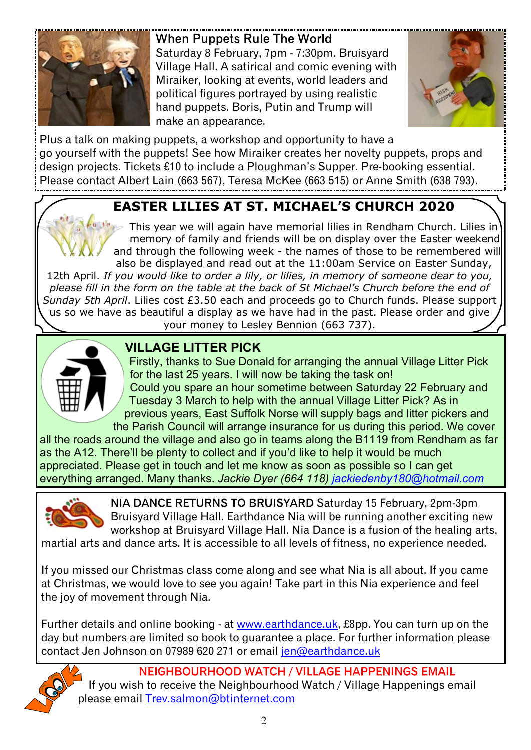

When Puppets Rule The World Saturday 8 February, 7pm - 7:30pm. Bruisvard Village Hall. A satirical and comic evening with Miraiker, looking at events, world leaders and political figures portrayed by using realistic hand puppets. Boris, Putin and Trump will make an appearance.



Plus a talk on making puppets, a workshop and opportunity to have a go yourself with the puppets! See how Miraiker creates her novelty puppets, props and design projects. Tickets £10 to include a Ploughman's Supper. Pre-booking essential. Please contact Albert Lain (663 567), Teresa McKee (663 515) or Anne Smith (638 793).

### **EASTER LILIES AT ST. MICHAEL'S CHURCH 2020**

This year we will again have memorial lilies in Rendham Church. Lilies in memory of family and friends will be on display over the Easter weekend and through the following week - the names of those to be remembered will also be displayed and read out at the 11:00am Service on Easter Sunday,

12th April. *If you would like to order a lily, or lilies, in memory of someone dear to you, please fill in the form on the table at the back of St Michael's Church before the end of Sunday 5th April*. Lilies cost £3.50 each and proceeds go to Church funds. Please support us so we have as beautiful a display as we have had in the past. Please order and give your money to Lesley Bennion (663 737).



### **VILLAGE LITTER PICK**

Firstly, thanks to Sue Donald for arranging the annual Village Litter Pick for the last 25 years. I will now be taking the task on! Could you spare an hour sometime between Saturday 22 February and Tuesday 3 March to help with the annual Village Litter Pick? As in previous years, East Suffolk Norse will supply bags and litter pickers and the Parish Council will arrange insurance for us during this period. We cover

all the roads around the village and also go in teams along the B1119 from Rendham as far as the A12. There'll be plenty to collect and if you'd like to help it would be much appreciated. Please get in touch and let me know as soon as possible so I can get everything arranged. Many thanks. *Jackie Dyer (664 118) [jackiedenby180@hotmail.com](mailto:jackiedenby180@hotmail.com)*



NIA DANCE RETURNS TO BRUISYARD Saturday 15 February, 2pm-3pm Bruisyard Village Hall. Earthdance Nia will be running another exciting new workshop at Bruisyard Village Hall. Nia Dance is a fusion of the healing arts,

martial arts and dance arts. It is accessible to all levels of fitness, no experience needed.

If you missed our Christmas class come along and see what Nia is all about. If you came at Christmas, we would love to see you again! Take part in this Nia experience and feel the joy of movement through Nia.

Further details and online booking - at [www.earthdance.uk,](www.earthdance.uk) £8pp. You can turn up on the day but numbers are limited so book to guarantee a place. For further information please contact Jen Johnson on 07989 620 271 or email [jen@earthdance.uk](mailto:jen@earthdance.uk)



NEIGHBOURHOOD WATCH / VILLAGE HAPPENINGS EMAIL If you wish to receive the Neighbourhood Watch / Village Happenings email please email [Trev.salmon@btinternet.com](mailto:Trev.salmon@btinternet.com)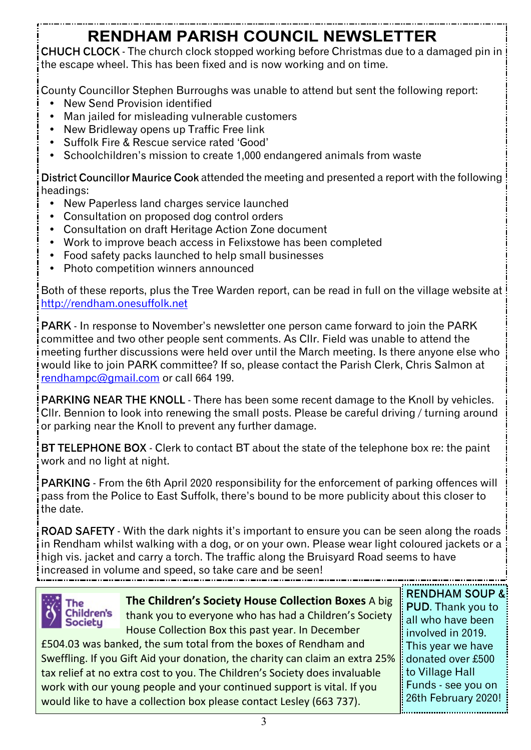# **RENDHAM PARISH COUNCIL NEWSLETTER**

CHUCH CLOCK - The church clock stopped working before Christmas due to a damaged pin in the escape wheel. This has been fixed and is now working and on time.

County Councillor Stephen Burroughs was unable to attend but sent the following report:

- New Send Provision identified
- Man jailed for misleading vulnerable customers
- New Bridleway opens up Traffic Free link
- ü Suffolk Fire & Rescue service rated 'Good'
- Schoolchildren's mission to create 1,000 endangered animals from waste

District Councillor Maurice Cook attended the meeting and presented a report with the following headings:

- ü New Paperless land charges service launched
- Consultation on proposed dog control orders
- Consultation on draft Heritage Action Zone document
- Work to improve beach access in Felixstowe has been completed
- Food safety packs launched to help small businesses
- Photo competition winners announced

Both of these reports, plus the Tree Warden report, can be read in full on the village website at <http://rendham.onesuffolk.net>

PARK - In response to November's newsletter one person came forward to join the PARK committee and two other people sent comments. As Cllr. Field was unable to attend the meeting further discussions were held over until the March meeting. Is there anyone else who would like to join PARK committee? If so, please contact the Parish Clerk, Chris Salmon at [rendhampc@gmail.com](mailto:rendhampc@gmail.com) or call 664 199.

PARKING NEAR THE KNOLL - There has been some recent damage to the Knoll by vehicles. Cllr. Bennion to look into renewing the small posts. Please be careful driving / turning around or parking near the Knoll to prevent any further damage.

BT TELEPHONE BOX - Clerk to contact BT about the state of the telephone box re: the paint work and no light at night.

PARKING - From the 6th April 2020 responsibility for the enforcement of parking offences will pass from the Police to East Suffolk, there's bound to be more publicity about this closer to the date.

ROAD SAFETY - With the dark nights it's important to ensure you can be seen along the roads in Rendham whilst walking with a dog, or on your own. Please wear light coloured jackets or a high vis. jacket and carry a torch. The traffic along the Bruisyard Road seems to have increased in volume and speed, so take care and be seen!



**The Children's Society House Collection Boxes** A big thank you to everyone who has had a Children's Society House Collection Box this past year. In December

£504.03 was banked, the sum total from the boxes of Rendham and Sweffling. If you Gift Aid your donation, the charity can claim an extra 25% tax relief at no extra cost to you. The Children's Society does invaluable work with our young people and your continued support is vital. If you would like to have a collection box please contact Lesley (663 737).

**RENDHAM SOUP &** PUD. Thank you to all who have been involved in 2019. This year we have donated over £500 to Village Hall Funds - see you on 26th February 2020!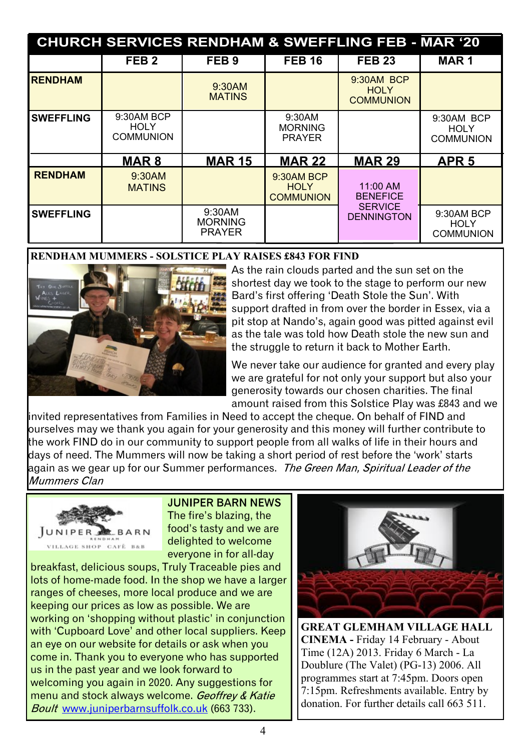| <b>CHURCH SERVICES RENDHAM &amp; SWEFFLING FEB - MAR '20</b> |                                               |                                           |                                               |                                               |                                               |
|--------------------------------------------------------------|-----------------------------------------------|-------------------------------------------|-----------------------------------------------|-----------------------------------------------|-----------------------------------------------|
|                                                              | FEB <sub>2</sub>                              | FEB <sub>9</sub>                          | <b>FEB 16</b>                                 | <b>FEB 23</b>                                 | <b>MAR1</b>                                   |
| <b>RENDHAM</b>                                               |                                               | 9:30AM<br><b>MATINS</b>                   |                                               | 9:30AM BCP<br><b>HOLY</b><br><b>COMMUNION</b> |                                               |
| <b>SWEFFLING</b>                                             | 9:30AM BCP<br><b>HOLY</b><br><b>COMMUNION</b> |                                           | 9:30AM<br><b>MORNING</b><br><b>PRAYER</b>     |                                               | 9:30AM BCP<br><b>HOLY</b><br><b>COMMUNION</b> |
|                                                              | <b>MAR8</b>                                   | <b>MAR 15</b>                             | <b>MAR 22</b>                                 | <b>MAR 29</b>                                 | APR <sub>5</sub>                              |
| <b>RENDHAM</b>                                               | 9:30AM<br><b>MATINS</b>                       |                                           | 9:30AM BCP<br><b>HOLY</b><br><b>COMMUNION</b> | 11:00 AM<br><b>BENEFICE</b>                   |                                               |
| <b>SWEFFLING</b>                                             |                                               | 9:30AM<br><b>MORNING</b><br><b>PRAYER</b> |                                               | <b>SERVICE</b><br><b>DENNINGTON</b>           | 9:30AM BCP<br><b>HOLY</b><br><b>COMMUNION</b> |

#### **RENDHAM MUMMERS - SOLSTICE PLAY RAISES £843 FOR FIND**



As the rain clouds parted and the sun set on the shortest day we took to the stage to perform our new Bard's first offering 'Death Stole the Sun'. With support drafted in from over the border in Essex, via a pit stop at Nando's, again good was pitted against evil as the tale was told how Death stole the new sun and the struggle to return it back to Mother Farth.

We never take our audience for granted and every play we are grateful for not only your support but also your generosity towards our chosen charities. The final amount raised from this Solstice Play was £843 and we

invited representatives from Families in Need to accept the cheque. On behalf of FIND and ourselves may we thank you again for your generosity and this money will further contribute to the work FIND do in our community to support people from all walks of life in their hours and days of need. The Mummers will now be taking a short period of rest before the 'work' starts again as we gear up for our Summer performances. The Green Man, Spiritual Leader of the Mummers Clan



**JUNIPER BARN NEWS** The fire's blazing, the food's tasty and we are delighted to welcome everyone in for all-day

breakfast, delicious soups, Truly Traceable pies and lots of home-made food. In the shop we have a larger ranges of cheeses, more local produce and we are keeping our prices as low as possible. We are working on 'shopping without plastic' in conjunction with 'Cupboard Love' and other local suppliers. Keep an eye on our website for details or ask when you come in. Thank you to everyone who has supported us in the past year and we look forward to welcoming you again in 2020. Any suggestions for menu and stock always welcome. Geoffrey & Katie Boult <www.juniperbarnsuffolk.co.uk>(663 733).



**GREAT GLEMHAM VILLAGE HALL CINEMA -** Friday 14 February - About Time (12A) 2013. Friday 6 March - La Doublure (The Valet) (PG-13) 2006. All programmes start at 7:45pm. Doors open 7:15pm. Refreshments available. Entry by donation. For further details call 663 511.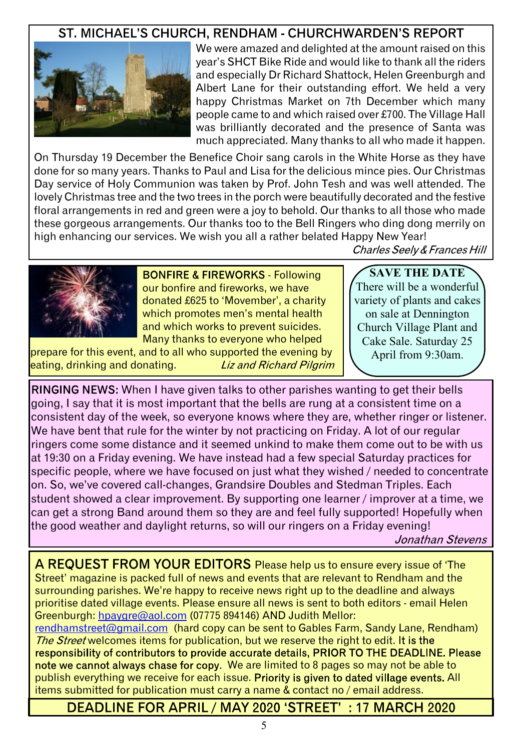### ST. MICHAEL'S CHURCH. RENDHAM - CHURCHWARDEN'S REPORT



We were amazed and delighted at the amount raised on this year's SHCT Bike Ride and would like to thank all the riders and especially Dr Richard Shattock, Helen Greenburgh and Albert Lane for their outstanding effort. We held a very happy Christmas Market on 7th December which many people came to and which raised over £700. The Village Hall was brilliantly decorated and the presence of Santa was much appreciated. Many thanks to all who made it happen.

On Thursday 19 December the Benefice Choir sang carols in the White Horse as they have done for so many years. Thanks to Paul and Lisa for the delicious mince pies. Our Christmas Day service of Holy Communion was taken by Prof. John Tesh and was well attended. The lovely Christmas tree and the two trees in the porch were beautifully decorated and the festive floral arrangements in red and green were a joy to behold. Our thanks to all those who made these gorgeous arrangements. Our thanks too to the Bell Ringers who ding dong merrily on high enhancing our services. We wish you all a rather belated Happy New Year!

Charles Seely & Frances Hill



**BONFIRE & FIREWORKS - Following** our bonfire and fireworks, we have donated £625 to 'Movember', a charity which promotes men's mental health and which works to prevent suicides. Many thanks to everyone who helped

prepare for this event, and to all who supported the evening by eating, drinking and donating. **Liz and Richard Pilgrim** 

**SAVE THE DATE** There will be a wonderful variety of plants and cakes on sale at Dennington Church Village Plant and Cake Sale. Saturday 25 April from 9:30am.

RINGING NEWS: When I have given talks to other parishes wanting to get their bells going, I say that it is most important that the bells are rung at a consistent time on a consistent day of the week, so everyone knows where they are, whether ringer or listener. We have bent that rule for the winter by not practicing on Friday. A lot of our regular ringers come some distance and it seemed unkind to make them come out to be with us at 19:30 on a Friday evening. We have instead had a few special Saturday practices for specific people, where we have focused on just what they wished / needed to concentrate on. So, we've covered call-changes, Grandsire Doubles and Stedman Triples, Each student showed a clear improvement. By supporting one learner / improver at a time, we can get a strong Band around them so they are and feel fully supported! Hopefully when the good weather and daylight returns, so will our ringers on a Friday evening!

Jonathan Stevens

A REQUEST FROM YOUR EDITORS Please help us to ensure every issue of 'The Street' magazine is packed full of news and events that are relevant to Rendham and the surrounding parishes. We're happy to receive news right up to the deadline and always prioritise dated village events. Please ensure all news is sent to both editors - email Helen Greenburgh: [hpaygre@aol.com](mailto:hpaygre@aol.com) (07775 894146) AND Judith Mellor:

[rendhamstreet@gmail.com](mailto:rendhamstreet@gmail.com) (hard copy can be sent to Gables Farm, Sandy Lane, Rendham) The Street welcomes items for publication, but we reserve the right to edit. It is the responsibility of contributors to provide accurate details, PRIOR TO THE DEADLINE. Please note we cannot always chase for copy. We are limited to 8 pages so may not be able to publish everything we receive for each issue. Priority is given to dated village events. All items submitted for publication must carry a name & contact no / email address.

DEADLINE FOR APRIL / MAY 2020 'STREET': 17 MARCH 2020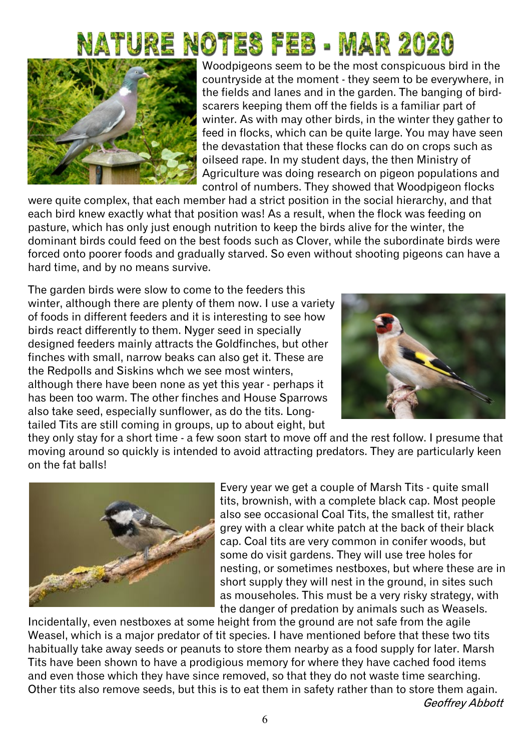# ature notes feb - mar 2020



Woodpigeons seem to be the most conspicuous bird in the countryside at the moment - they seem to be everywhere, in the fields and lanes and in the garden. The banging of birdscarers keeping them off the fields is a familiar part of winter. As with may other birds, in the winter they gather to feed in flocks, which can be quite large. You may have seen the devastation that these flocks can do on crops such as oilseed rape. In my student days, the then Ministry of Agriculture was doing research on pigeon populations and control of numbers. They showed that Woodpigeon flocks

were quite complex, that each member had a strict position in the social hierarchy, and that each bird knew exactly what that position was! As a result, when the flock was feeding on pasture, which has only just enough nutrition to keep the birds alive for the winter, the dominant birds could feed on the best foods such as Clover, while the subordinate birds were forced onto poorer foods and gradually starved. So even without shooting pigeons can have a hard time, and by no means survive.

The garden birds were slow to come to the feeders this winter, although there are plenty of them now. I use a variety of foods in different feeders and it is interesting to see how birds react differently to them. Nyger seed in specially designed feeders mainly attracts the Goldfinches, but other finches with small, narrow beaks can also get it. These are the Redpolls and Siskins whch we see most winters, although there have been none as yet this year - perhaps it has been too warm. The other finches and House Sparrows also take seed, especially sunflower, as do the tits. Longtailed Tits are still coming in groups, up to about eight, but



they only stay for a short time - a few soon start to move off and the rest follow. I presume that moving around so quickly is intended to avoid attracting predators. They are particularly keen on the fat balls!



Every year we get a couple of Marsh Tits - quite small tits, brownish, with a complete black cap. Most people also see occasional Coal Tits, the smallest tit, rather grey with a clear white patch at the back of their black cap. Coal tits are very common in conifer woods, but some do visit gardens. They will use tree holes for nesting, or sometimes nestboxes, but where these are in short supply they will nest in the ground, in sites such as mouseholes. This must be a very risky strategy, with the danger of predation by animals such as Weasels.

Incidentally, even nestboxes at some height from the ground are not safe from the agile Weasel, which is a major predator of tit species. I have mentioned before that these two tits habitually take away seeds or peanuts to store them nearby as a food supply for later. Marsh Tits have been shown to have a prodigious memory for where they have cached food items and even those which they have since removed, so that they do not waste time searching. Other tits also remove seeds, but this is to eat them in safety rather than to store them again.Geoffrey Abbott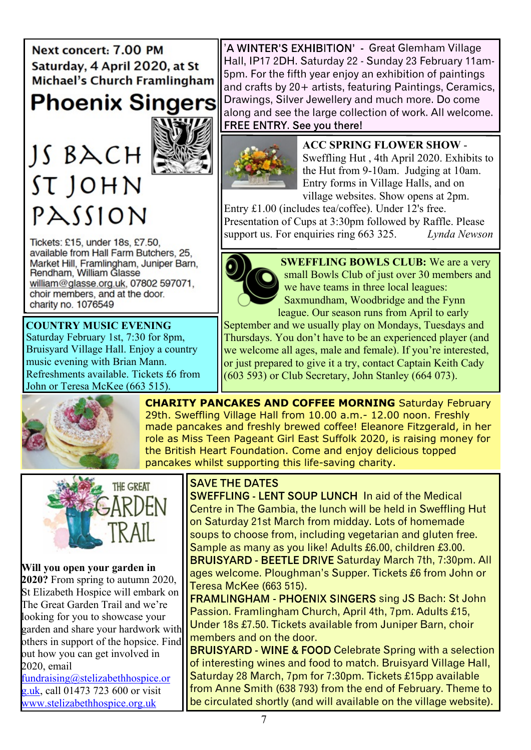Next concert: 7.00 PM Saturday, 4 April 2020, at St **Michael's Church Framlingham** 

**Phoenix Singers** 

# $JS$   $BACH$ ST JOHN PASSION



Tickets: £15, under 18s, £7.50, available from Hall Farm Butchers, 25. Market Hill, Framlingham, Juniper Barn, Rendham, William Glasse william@glasse.org.uk, 07802 597071, choir members, and at the door. charity no. 1076549

Saturday February 1st, 7:30 for 8pm, Bruisyard Village Hall. Enjoy a country music evening with Brian Mann. Refreshments available. Tickets £6 from John or Teresa McKee (663 515). **COUNTRY MUSIC EVENING**

'A WINTER'S EXHIBITION' - Great Glemham Village Hall, IP17 2DH. Saturday 22 - Sunday 23 February 11am-5pm. For the fifth year enjoy an exhibition of paintings and crafts by 20+ artists, featuring Paintings, Ceramics, Drawings, Silver Jewellery and much more. Do come along and see the large collection of work. All welcome.<br>FREE ENTRY. See vou there!



**ACC SPRING FLOWER SHOW** - Sweffling Hut , 4th April 2020. Exhibits to the Hut from 9-10am. Judging at 10am. Entry forms in Village Halls, and on village websites. Show opens at 2pm.

Entry £1.00 (includes tea/coffee). Under 12's free. Presentation of Cups at 3:30pm followed by Raffle. Please support us. For enquiries ring 663 325. *Lynda Newson*



**SWEFFLING BOWLS CLUB:** We are a very small Bowls Club of just over 30 members and we have teams in three local leagues: Saxmundham, Woodbridge and the Fynn league. Our season runs from April to early

September and we usually play on Mondays, Tuesdays and Thursdays. You don't have to be an experienced player (and we welcome all ages, male and female). If you're interested, or just prepared to give it a try, contact Captain Keith Cady  $(603 593)$  or Club Secretary, John Stanley  $(664 073)$ .



**CHARITY PANCAKES AND COFFEE MORNING** Saturday February 29th. Sweffling Village Hall from 10.00 a.m.- 12.00 noon. Freshly made pancakes and freshly brewed coffee! Eleanore Fitzgerald, in her role as Miss Teen Pageant Girl East Suffolk 2020, is raising money for the British Heart Foundation. Come and enjoy delicious topped pancakes whilst supporting this life-saving charity.



**Will you open your garden in 2020?** From spring to autumn 2020, St Elizabeth Hospice will embark on The Great Garden Trail and we're looking for you to showcase your garden and share your hardwork with others in support of the hopsice. Find out how you can get involved in 2020, email

[fundraising@stelizabethhospice.or](mailto:fundraising@stelizabethhospice.org.uk) [g.uk,](mailto:fundraising@stelizabethhospice.org.uk) call  $01473$  723 600 or visit <www.stelizabethhospice.org.uk>

### **SAVE THE DATES**

SWEFFLING - LENT SOUP LUNCH In aid of the Medical Centre in The Gambia, the lunch will be held in Sweffling Hut on Saturday 21st March from midday. Lots of homemade soups to choose from, including vegetarian and gluten free. Sample as many as you like! Adults £6.00, children £3.00. BRUISYARD - BEETLE DRIVE Saturday March 7th, 7:30pm. All ages welcome. Ploughman's Supper. Tickets £6 from John or

Teresa McKee (663 515). FRAMLINGHAM - PHOENIX SINGERS sing JS Bach: St John Passion, Framlingham Church, April 4th, 7pm, Adults £15, Under 18s £7.50. Tickets available from Juniper Barn, choir members and on the door.

**BRUISYARD - WINE & FOOD Celebrate Spring with a selection** of interesting wines and food to match. Bruisyard Village Hall, Saturday 28 March, 7pm for 7:30pm. Tickets £15pp available from Anne Smith (638 793) from the end of February. Theme to be circulated shortly (and will available on the village website).